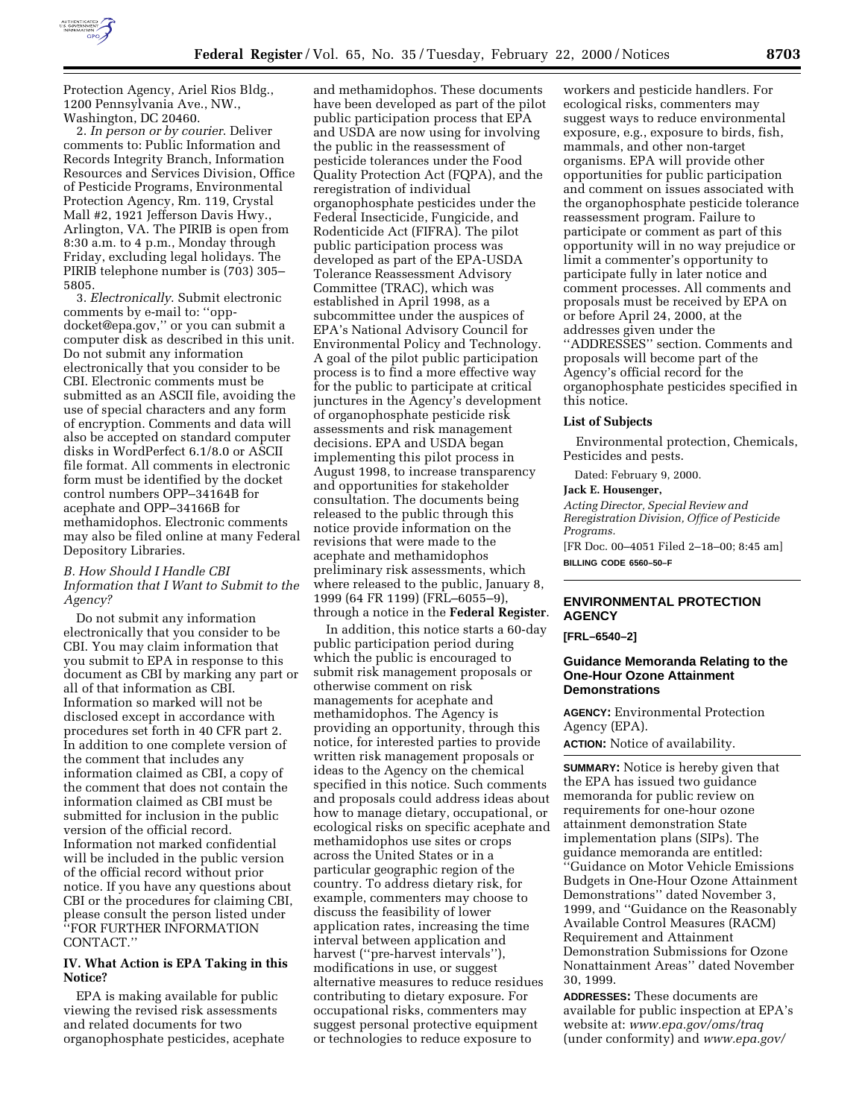

Protection Agency, Ariel Rios Bldg., 1200 Pennsylvania Ave., NW., Washington, DC 20460.

2. *In person or by courier*. Deliver comments to: Public Information and Records Integrity Branch, Information Resources and Services Division, Office of Pesticide Programs, Environmental Protection Agency, Rm. 119, Crystal Mall #2, 1921 Jefferson Davis Hwy., Arlington, VA. The PIRIB is open from 8:30 a.m. to 4 p.m., Monday through Friday, excluding legal holidays. The PIRIB telephone number is (703) 305– 5805.

3. *Electronically*. Submit electronic comments by e-mail to: ''oppdocket@epa.gov,'' or you can submit a computer disk as described in this unit. Do not submit any information electronically that you consider to be CBI. Electronic comments must be submitted as an ASCII file, avoiding the use of special characters and any form of encryption. Comments and data will also be accepted on standard computer disks in WordPerfect 6.1/8.0 or ASCII file format. All comments in electronic form must be identified by the docket control numbers OPP–34164B for acephate and OPP–34166B for methamidophos. Electronic comments may also be filed online at many Federal Depository Libraries.

### *B. How Should I Handle CBI Information that I Want to Submit to the Agency?*

Do not submit any information electronically that you consider to be CBI. You may claim information that you submit to EPA in response to this document as CBI by marking any part or all of that information as CBI. Information so marked will not be disclosed except in accordance with procedures set forth in 40 CFR part 2. In addition to one complete version of the comment that includes any information claimed as CBI, a copy of the comment that does not contain the information claimed as CBI must be submitted for inclusion in the public version of the official record. Information not marked confidential will be included in the public version of the official record without prior notice. If you have any questions about CBI or the procedures for claiming CBI, please consult the person listed under ''FOR FURTHER INFORMATION CONTACT.''

# **IV. What Action is EPA Taking in this Notice?**

EPA is making available for public viewing the revised risk assessments and related documents for two organophosphate pesticides, acephate

and methamidophos. These documents have been developed as part of the pilot public participation process that EPA and USDA are now using for involving the public in the reassessment of pesticide tolerances under the Food Quality Protection Act (FQPA), and the reregistration of individual organophosphate pesticides under the Federal Insecticide, Fungicide, and Rodenticide Act (FIFRA). The pilot public participation process was developed as part of the EPA-USDA Tolerance Reassessment Advisory Committee (TRAC), which was established in April 1998, as a subcommittee under the auspices of EPA's National Advisory Council for Environmental Policy and Technology. A goal of the pilot public participation process is to find a more effective way for the public to participate at critical junctures in the Agency's development of organophosphate pesticide risk assessments and risk management decisions. EPA and USDA began implementing this pilot process in August 1998, to increase transparency and opportunities for stakeholder consultation. The documents being released to the public through this notice provide information on the revisions that were made to the acephate and methamidophos preliminary risk assessments, which where released to the public, January 8, 1999 (64 FR 1199) (FRL–6055–9), through a notice in the **Federal Register**.

In addition, this notice starts a 60-day public participation period during which the public is encouraged to submit risk management proposals or otherwise comment on risk managements for acephate and methamidophos. The Agency is providing an opportunity, through this notice, for interested parties to provide written risk management proposals or ideas to the Agency on the chemical specified in this notice. Such comments and proposals could address ideas about how to manage dietary, occupational, or ecological risks on specific acephate and methamidophos use sites or crops across the United States or in a particular geographic region of the country. To address dietary risk, for example, commenters may choose to discuss the feasibility of lower application rates, increasing the time interval between application and harvest (''pre-harvest intervals''), modifications in use, or suggest alternative measures to reduce residues contributing to dietary exposure. For occupational risks, commenters may suggest personal protective equipment or technologies to reduce exposure to

workers and pesticide handlers. For ecological risks, commenters may suggest ways to reduce environmental exposure, e.g., exposure to birds, fish, mammals, and other non-target organisms. EPA will provide other opportunities for public participation and comment on issues associated with the organophosphate pesticide tolerance reassessment program. Failure to participate or comment as part of this opportunity will in no way prejudice or limit a commenter's opportunity to participate fully in later notice and comment processes. All comments and proposals must be received by EPA on or before April 24, 2000, at the addresses given under the ''ADDRESSES'' section. Comments and proposals will become part of the Agency's official record for the organophosphate pesticides specified in this notice.

#### **List of Subjects**

Environmental protection, Chemicals, Pesticides and pests.

Dated: February 9, 2000.

#### **Jack E. Housenger,**

*Acting Director, Special Review and Reregistration Division, Office of Pesticide Programs.*

[FR Doc. 00–4051 Filed 2–18–00; 8:45 am] **BILLING CODE 6560–50–F**

## **ENVIRONMENTAL PROTECTION AGENCY**

**[FRL–6540–2]**

#### **Guidance Memoranda Relating to the One-Hour Ozone Attainment Demonstrations**

**AGENCY:** Environmental Protection Agency (EPA).

**ACTION:** Notice of availability.

**SUMMARY:** Notice is hereby given that the EPA has issued two guidance memoranda for public review on requirements for one-hour ozone attainment demonstration State implementation plans (SIPs). The guidance memoranda are entitled: ''Guidance on Motor Vehicle Emissions Budgets in One-Hour Ozone Attainment Demonstrations'' dated November 3, 1999, and ''Guidance on the Reasonably Available Control Measures (RACM) Requirement and Attainment Demonstration Submissions for Ozone Nonattainment Areas'' dated November 30, 1999.

**ADDRESSES:** These documents are available for public inspection at EPA's website at: *www.epa.gov/oms/traq* (under conformity) and *www.epa.gov/*